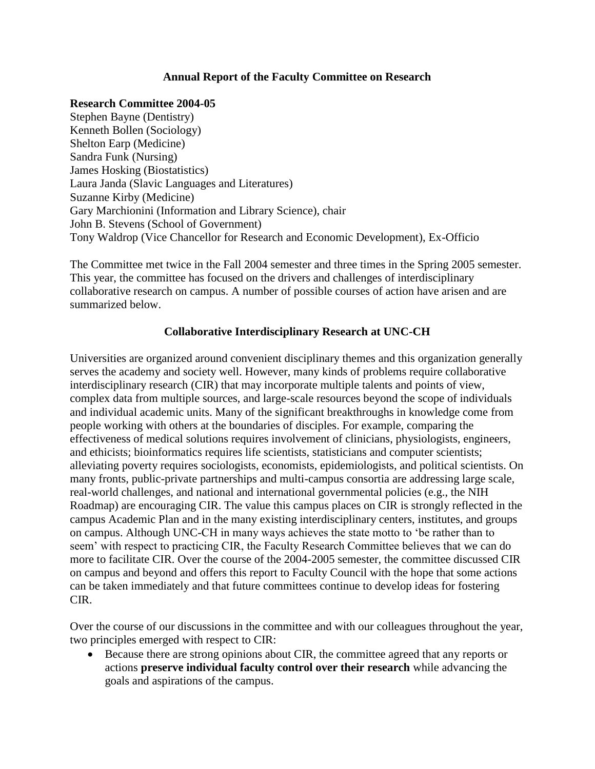## **Annual Report of the Faculty Committee on Research**

## **Research Committee 2004-05**

Stephen Bayne (Dentistry) Kenneth Bollen (Sociology) Shelton Earp (Medicine) Sandra Funk (Nursing) James Hosking (Biostatistics) Laura Janda (Slavic Languages and Literatures) Suzanne Kirby (Medicine) Gary Marchionini (Information and Library Science), chair John B. Stevens (School of Government) Tony Waldrop (Vice Chancellor for Research and Economic Development), Ex-Officio

The Committee met twice in the Fall 2004 semester and three times in the Spring 2005 semester. This year, the committee has focused on the drivers and challenges of interdisciplinary collaborative research on campus. A number of possible courses of action have arisen and are summarized below.

## **Collaborative Interdisciplinary Research at UNC-CH**

Universities are organized around convenient disciplinary themes and this organization generally serves the academy and society well. However, many kinds of problems require collaborative interdisciplinary research (CIR) that may incorporate multiple talents and points of view, complex data from multiple sources, and large-scale resources beyond the scope of individuals and individual academic units. Many of the significant breakthroughs in knowledge come from people working with others at the boundaries of disciples. For example, comparing the effectiveness of medical solutions requires involvement of clinicians, physiologists, engineers, and ethicists; bioinformatics requires life scientists, statisticians and computer scientists; alleviating poverty requires sociologists, economists, epidemiologists, and political scientists. On many fronts, public-private partnerships and multi-campus consortia are addressing large scale, real-world challenges, and national and international governmental policies (e.g., the NIH Roadmap) are encouraging CIR. The value this campus places on CIR is strongly reflected in the campus Academic Plan and in the many existing interdisciplinary centers, institutes, and groups on campus. Although UNC-CH in many ways achieves the state motto to 'be rather than to seem' with respect to practicing CIR, the Faculty Research Committee believes that we can do more to facilitate CIR. Over the course of the 2004-2005 semester, the committee discussed CIR on campus and beyond and offers this report to Faculty Council with the hope that some actions can be taken immediately and that future committees continue to develop ideas for fostering CIR.

Over the course of our discussions in the committee and with our colleagues throughout the year, two principles emerged with respect to CIR:

 Because there are strong opinions about CIR, the committee agreed that any reports or actions **preserve individual faculty control over their research** while advancing the goals and aspirations of the campus.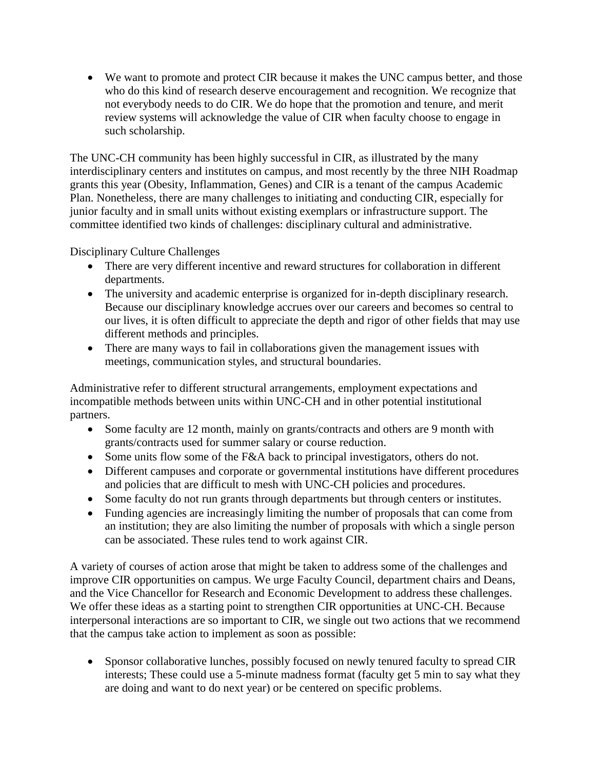We want to promote and protect CIR because it makes the UNC campus better, and those who do this kind of research deserve encouragement and recognition. We recognize that not everybody needs to do CIR. We do hope that the promotion and tenure, and merit review systems will acknowledge the value of CIR when faculty choose to engage in such scholarship.

The UNC-CH community has been highly successful in CIR, as illustrated by the many interdisciplinary centers and institutes on campus, and most recently by the three NIH Roadmap grants this year (Obesity, Inflammation, Genes) and CIR is a tenant of the campus Academic Plan. Nonetheless, there are many challenges to initiating and conducting CIR, especially for junior faculty and in small units without existing exemplars or infrastructure support. The committee identified two kinds of challenges: disciplinary cultural and administrative.

Disciplinary Culture Challenges

- There are very different incentive and reward structures for collaboration in different departments.
- The university and academic enterprise is organized for in-depth disciplinary research. Because our disciplinary knowledge accrues over our careers and becomes so central to our lives, it is often difficult to appreciate the depth and rigor of other fields that may use different methods and principles.
- There are many ways to fail in collaborations given the management issues with meetings, communication styles, and structural boundaries.

Administrative refer to different structural arrangements, employment expectations and incompatible methods between units within UNC-CH and in other potential institutional partners.

- Some faculty are 12 month, mainly on grants/contracts and others are 9 month with grants/contracts used for summer salary or course reduction.
- Some units flow some of the F&A back to principal investigators, others do not.
- Different campuses and corporate or governmental institutions have different procedures and policies that are difficult to mesh with UNC-CH policies and procedures.
- Some faculty do not run grants through departments but through centers or institutes.
- Funding agencies are increasingly limiting the number of proposals that can come from an institution; they are also limiting the number of proposals with which a single person can be associated. These rules tend to work against CIR.

A variety of courses of action arose that might be taken to address some of the challenges and improve CIR opportunities on campus. We urge Faculty Council, department chairs and Deans, and the Vice Chancellor for Research and Economic Development to address these challenges. We offer these ideas as a starting point to strengthen CIR opportunities at UNC-CH. Because interpersonal interactions are so important to CIR, we single out two actions that we recommend that the campus take action to implement as soon as possible:

• Sponsor collaborative lunches, possibly focused on newly tenured faculty to spread CIR interests; These could use a 5-minute madness format (faculty get 5 min to say what they are doing and want to do next year) or be centered on specific problems.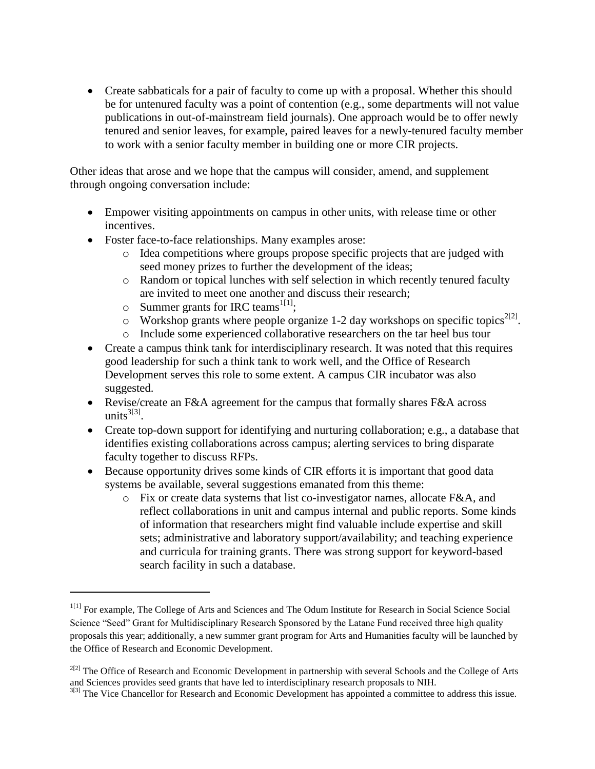• Create sabbaticals for a pair of faculty to come up with a proposal. Whether this should be for untenured faculty was a point of contention (e.g., some departments will not value publications in out-of-mainstream field journals). One approach would be to offer newly tenured and senior leaves, for example, paired leaves for a newly-tenured faculty member to work with a senior faculty member in building one or more CIR projects.

Other ideas that arose and we hope that the campus will consider, amend, and supplement through ongoing conversation include:

- Empower visiting appointments on campus in other units, with release time or other incentives.
- Foster face-to-face relationships. Many examples arose:
	- o Idea competitions where groups propose specific projects that are judged with seed money prizes to further the development of the ideas;
	- o Random or topical lunches with self selection in which recently tenured faculty are invited to meet one another and discuss their research;
	- $\circ$  Summer grants for IRC teams<sup>1[1]</sup>;

 $\overline{\phantom{a}}$ 

- $\circ$  Workshop grants where people organize 1-2 day workshops on specific topics<sup>2[2]</sup>.
- o Include some experienced collaborative researchers on the tar heel bus tour
- Create a campus think tank for interdisciplinary research. It was noted that this requires good leadership for such a think tank to work well, and the Office of Research Development serves this role to some extent. A campus CIR incubator was also suggested.
- Revise/create an F&A agreement for the campus that formally shares F&A across units $^{3[3]}$ .
- Create top-down support for identifying and nurturing collaboration; e.g., a database that identifies existing collaborations across campus; alerting services to bring disparate faculty together to discuss RFPs.
- Because opportunity drives some kinds of CIR efforts it is important that good data systems be available, several suggestions emanated from this theme:
	- o Fix or create data systems that list co-investigator names, allocate F&A, and reflect collaborations in unit and campus internal and public reports. Some kinds of information that researchers might find valuable include expertise and skill sets; administrative and laboratory support/availability; and teaching experience and curricula for training grants. There was strong support for keyword-based search facility in such a database.

<sup>&</sup>lt;sup>1[1]</sup> For example, The College of Arts and Sciences and The Odum Institute for Research in Social Science Social Science "Seed" Grant for Multidisciplinary Research Sponsored by the Latane Fund received three high quality proposals this year; additionally, a new summer grant program for Arts and Humanities faculty will be launched by the Office of Research and Economic Development.

 $^{2[2]}$  The Office of Research and Economic Development in partnership with several Schools and the College of Arts and Sciences provides seed grants that have led to interdisciplinary research proposals to NIH.

<sup>&</sup>lt;sup>3[3]</sup> The Vice Chancellor for Research and Economic Development has appointed a committee to address this issue.